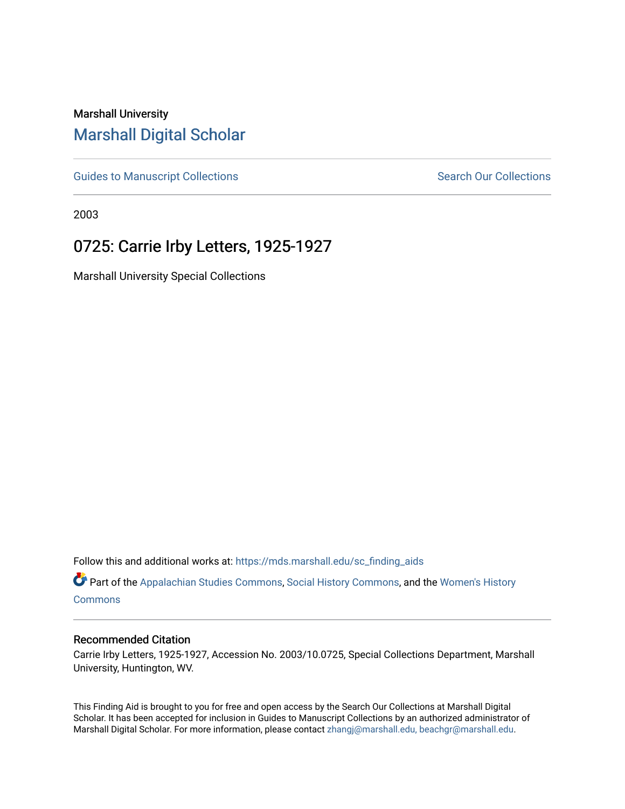# Marshall University [Marshall Digital Scholar](https://mds.marshall.edu/)

[Guides to Manuscript Collections](https://mds.marshall.edu/sc_finding_aids) **Search Our Collections** Search Our Collections

2003

# 0725: Carrie Irby Letters, 1925-1927

Marshall University Special Collections

Follow this and additional works at: [https://mds.marshall.edu/sc\\_finding\\_aids](https://mds.marshall.edu/sc_finding_aids?utm_source=mds.marshall.edu%2Fsc_finding_aids%2F645&utm_medium=PDF&utm_campaign=PDFCoverPages) 

Part of the [Appalachian Studies Commons,](http://network.bepress.com/hgg/discipline/1253?utm_source=mds.marshall.edu%2Fsc_finding_aids%2F645&utm_medium=PDF&utm_campaign=PDFCoverPages) [Social History Commons](http://network.bepress.com/hgg/discipline/506?utm_source=mds.marshall.edu%2Fsc_finding_aids%2F645&utm_medium=PDF&utm_campaign=PDFCoverPages), and the [Women's History](http://network.bepress.com/hgg/discipline/507?utm_source=mds.marshall.edu%2Fsc_finding_aids%2F645&utm_medium=PDF&utm_campaign=PDFCoverPages)  **[Commons](http://network.bepress.com/hgg/discipline/507?utm_source=mds.marshall.edu%2Fsc_finding_aids%2F645&utm_medium=PDF&utm_campaign=PDFCoverPages)** 

#### Recommended Citation

Carrie Irby Letters, 1925-1927, Accession No. 2003/10.0725, Special Collections Department, Marshall University, Huntington, WV.

This Finding Aid is brought to you for free and open access by the Search Our Collections at Marshall Digital Scholar. It has been accepted for inclusion in Guides to Manuscript Collections by an authorized administrator of Marshall Digital Scholar. For more information, please contact [zhangj@marshall.edu, beachgr@marshall.edu](mailto:zhangj@marshall.edu,%20beachgr@marshall.edu).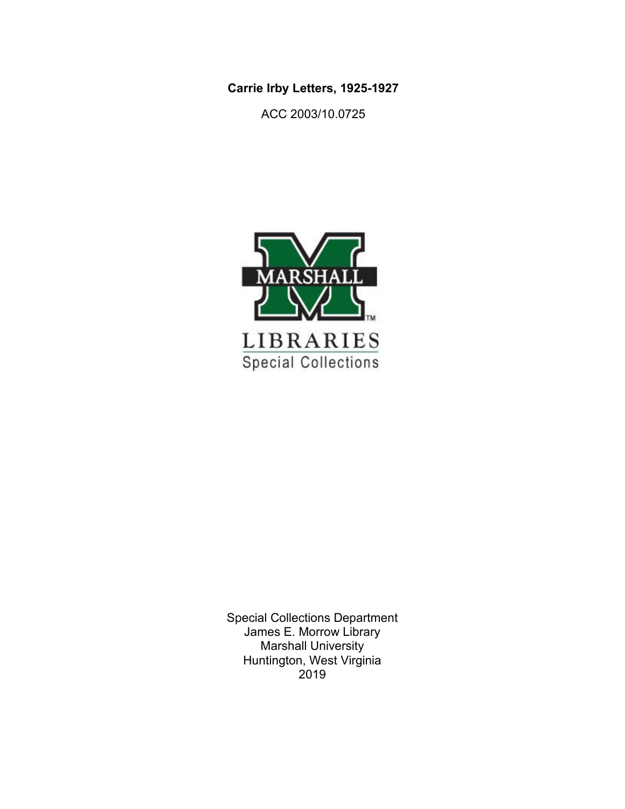**Carrie Irby Letters, 1925-1927**

ACC 2003/10.0725



Special Collections Department James E. Morrow Library Marshall University Huntington, West Virginia 2019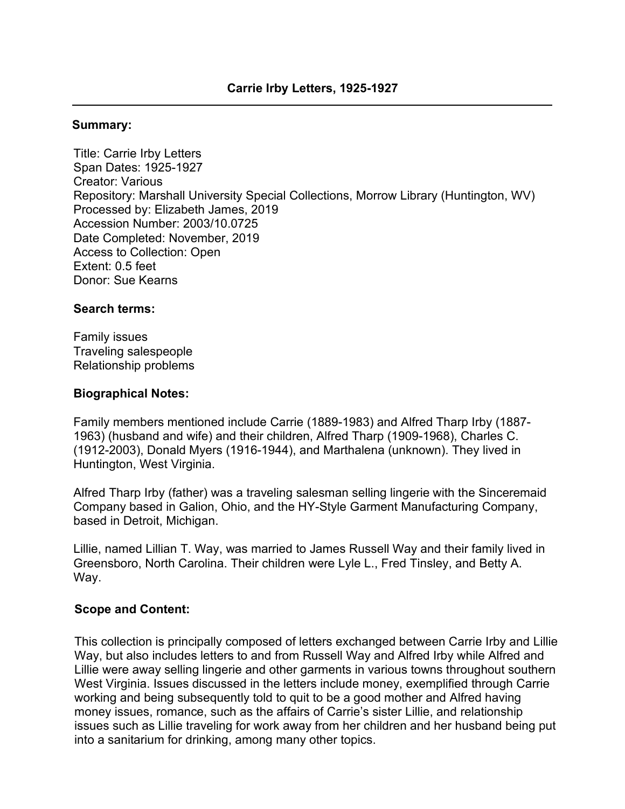### **Summary:**

Title: Carrie Irby Letters Span Dates: 1925-1927 Creator: Various Repository: Marshall University Special Collections, Morrow Library (Huntington, WV) Processed by: Elizabeth James, 2019 Accession Number: 2003/10.0725 Date Completed: November, 2019 Access to Collection: Open Extent: 0.5 feet Donor: Sue Kearns

### **Search terms:**

Family issues Traveling salespeople Relationship problems

### **Biographical Notes:**

Family members mentioned include Carrie (1889-1983) and Alfred Tharp Irby (1887- 1963) (husband and wife) and their children, Alfred Tharp (1909-1968), Charles C. (1912-2003), Donald Myers (1916-1944), and Marthalena (unknown). They lived in Huntington, West Virginia.

Alfred Tharp Irby (father) was a traveling salesman selling lingerie with the Sinceremaid Company based in Galion, Ohio, and the HY-Style Garment Manufacturing Company, based in Detroit, Michigan.

Lillie, named Lillian T. Way, was married to James Russell Way and their family lived in Greensboro, North Carolina. Their children were Lyle L., Fred Tinsley, and Betty A. Way.

#### **Scope and Content:**

This collection is principally composed of letters exchanged between Carrie Irby and Lillie Way, but also includes letters to and from Russell Way and Alfred Irby while Alfred and Lillie were away selling lingerie and other garments in various towns throughout southern West Virginia. Issues discussed in the letters include money, exemplified through Carrie working and being subsequently told to quit to be a good mother and Alfred having money issues, romance, such as the affairs of Carrie's sister Lillie, and relationship issues such as Lillie traveling for work away from her children and her husband being put into a sanitarium for drinking, among many other topics.